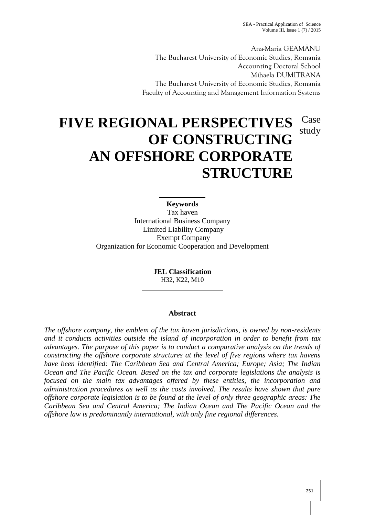SEA - Practical Application of Science Volume III, Issue  $1(7)/2015$ 

Ana-Maria GEAMÃNU The Bucharest University of Economic Studies, Romania Accounting Doctoral School Mihaela DUMITRANA The Bucharest University of Economic Studies, Romania Faculty of Accounting and Management Information Systems

# **FIVE REGIONAL PERSPECTIVES OF CONSTRUCTING AN OFFSHORE CORPORATE STRUCTURE** Case study

**Keywords** Tax haven International Business Company Limited Liability Company Exempt Company Organization for Economic Cooperation and Development

> **JEL Classification** H32, K22, M10

### **Abstract**

*The offshore company, the emblem of the tax haven jurisdictions, is owned by non-residents and it conducts activities outside the island of incorporation in order to benefit from tax advantages. The purpose of this paper is to conduct a comparative analysis on the trends of constructing the offshore corporate structures at the level of five regions where tax havens have been identified: The Caribbean Sea and Central America; Europe; Asia; The Indian Ocean and The Pacific Ocean. Based on the tax and corporate legislations the analysis is focused on the main tax advantages offered by these entities, the incorporation and administration procedures as well as the costs involved. The results have shown that pure offshore corporate legislation is to be found at the level of only three geographic areas: The Caribbean Sea and Central America; The Indian Ocean and The Pacific Ocean and the offshore law is predominantly international, with only fine regional differences.*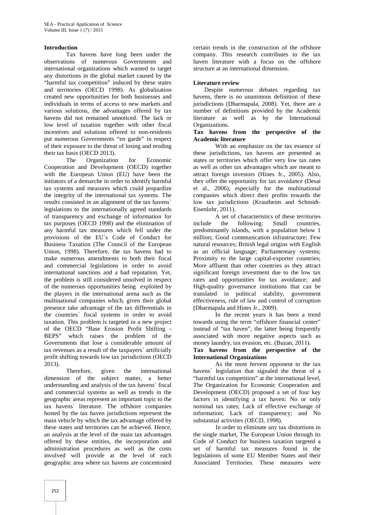#### **Introduction**

Tax havens have long been under the observations of numerous Governments and international organizations which wanted to target any distortions in the global market caused by the "harmful tax competition" induced by these states and territories (OECD 1998). As globalization created new opportunities for both businesses and individuals in terms of access to new markets and various solutions, the advantages offered by tax havens did not remained unnoticed. The lack or low level of taxation together with other fiscal incentives and solutions offered to non-residents put numerous Governments "en garde" in respect of their exposure to the threat of losing and eroding their tax basis (OECD 2013).

The Organization for Economic Cooperation and Development (OECD) together with the European Union (EU) have been the initiators of a demarche in order to identify harmful tax systems and measures which could jeopardize the integrity of the international tax systems. The results consisted in an alignment of the tax havens` legislations to the internationally agreed standards of transparency and exchange of information for tax purposes (OECD 1998) and the elimination of any harmful tax measures which fell under the provisions of the EU`s Code of Conduct for Business Taxation (The Council of the European Union, 1998). Therefore, the tax havens had to make numerous amendments to both their fiscal and commercial legislations in order to avoid international sanctions and a bad reputation. Yet, the problem is still considered unsolved in respect of the numerous opportunities being exploited by the players in the international arena such as the multinational companies which, given their global presence take advantage of the tax differentials in the countries` fiscal systems in order to avoid taxation. This problem is targeted in a new project of the OECD "Base Erosion Profit Shifting - BEPS" which raises the problem of the Governments that lose a considerable amount of tax revenues as a result of the taxpayers` artificially profit shifting towards low tax jurisdictions (OECD 2013).

Therefore, given the international dimension of the subject matter, a better understanding and analysis of the tax havens` fiscal and commercial systems as well as trends in the geographic areas represent an important topic to the tax havens` literature. The offshore companies hosted by the tax haven jurisdictions represent the main vehicle by which the tax advantage offered by these states and territories can be achieved. Hence, an analysis at the level of the main tax advantages offered by these entities, the incorporation and administration procedures as well as the costs involved will provide at the level of each geographic area where tax havens are concentrated

certain trends in the construction of the offshore company. This research contributes to the tax haven literature with a focus on the offshore structure at an international dimension.

#### **Literature review**

Despite numerous debates regarding tax havens, there is no unanimous definition of these jurisdictions (Dharmapala, 2008). Yet, there are a number of definitions provided by the Academic literature as well as by the International Organizations.

#### **Tax havens from the perspective of the Academic literature**

With an emphasize on the tax essence of these jurisdictions, tax havens are presented as states or territories which offer very low tax rates as well as other tax advantages which are meant to attract foreign investors (Hines Jr., 2005). Also, they offer the opportunity for tax avoidance (Desai et al., 2006), especially for the multinational companies which direct their profits towards the low tax jurisdictions (Krautheim and Schmidt- Eisenlohr, 2011).

A set of characteristics of these territories include the following: Small countries, predominantly islands, with a population below 1 million; Good communication infrastructure; Few natural resources; British legal origins with English as an official language; Parliamentary systems; Proximity to the large capital-exporter countries; More affluent than other countries as they attract significant foreign investment due to the low tax rates and opportunities for tax avoidance; and High-quality governance institutions that can be translated in political stability, government effectiveness, rule of law and control of corruption (Dharmapala and Hines Jr., 2009).

In the recent years it has been a trend towards using the term "offshore financial center" instead of "tax haven", the latter being frequently associated with more negative aspects such as money laundry, tax evasion, etc. (Buzan, 2011).

#### **Tax havens from the perspective of the International Organizations**

As the most fervent opponent to the tax havens` legislation that signaled the threat of a "harmful tax competition" at the international level, The Organization for Economic Cooperation and Development (OECD) proposed a set of four key factors in identifying a tax haven: No or only nominal tax rates; Lack of effective exchange of information; Lack of transparency; and No substantial activities (OECD, 1998).

In order to eliminate any tax distortions in the single market, The European Union through its Code of Conduct for business taxation targeted a set of harmful tax measures found in the legislations of some EU Member States and their Associated Territories. These measures were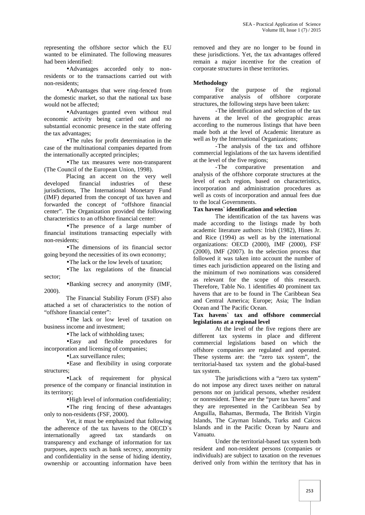representing the offshore sector which the EU wanted to be eliminated. The following measures had been identified:

Advantages accorded only to nonresidents or to the transactions carried out with non-residents;

• Advantages that were ring-fenced from For<br>estic market so that the national tax base comparative the domestic market, so that the national tax base would not be affected;

Advantages granted even without real economic activity being carried out and no substantial economic presence in the state offering the tax advantages;

The rules for profit determination in the case of the multinational companies departed from the internationally accepted principles;

The tax measures were non-transparent (The Council of the European Union, 1998).

Placing an accent on the very well developed financial industries of these jurisdictions, The International Monetary Fund (IMF) departed from the concept of tax haven and forwarded the concept of "offshore financial center". The Organization provided the following characteristics to an offshore financial center:

•The presence of a large number of financial institutions transacting especially with non-residents;

The dimensions of its financial sector going beyond the necessities of its own economy;

• The lack or the low levels of taxation;

The lax regulations of the financial sector;

Banking secrecy and anonymity (IMF, 2000).

The Financial Stability Forum (FSF) also attached a set of characteristics to the notion of "offshore financial center":

The lack or low level of taxation on business income and investment;

• The lack of withholding taxes;

Easy and flexible procedures for incorporation and licensing of companies;

Lax surveillance rules;

Ease and flexibility in using corporate structures;

Lack of requirement for physical presence of the company or financial institution in its territory;

High level of information confidentiality;

• The ring fencing of these advantages only to non-residents (FSF, 2000).

Yet, it must be emphasized that following the adherence of the tax havens to the OECD`s internationally agreed tax standards on transparency and exchange of information for tax purposes, aspects such as bank secrecy, anonymity and confidentiality in the sense of hiding identity, ownership or accounting information have been

removed and they are no longer to be found in these jurisdictions. Yet, the tax advantages offered remain a major incentive for the creation of corporate structures in these territories.

#### **Methodology**

For the purpose of the regional analysis of offshore corporate structures, the following steps have been taken:

-The identification and selection of the tax havens at the level of the geographic areas according to the numerous listings that have been made both at the level of Academic literature as well as by the International Organizations:

-The analysis of the tax and offshore commercial legislations of the tax havens identified at the level of the five regions;

-The comparative presentation and analysis of the offshore corporate structures at the level of each region, based on characteristics, incorporation and administration procedures as well as costs of incorporation and annual fees due to the local Governments.

#### **Tax havens` identification and selection**

The identification of the tax havens was made according to the listings made by both academic literature authors: Irish (1982), Hines Jr. and Rice (1994) as well as by the international organizations: OECD (2000), IMF (2000), FSF (2000), IMF (2007). In the selection process that followed it was taken into account the number of times each jurisdiction appeared on the listing and the minimum of two nominations was considered as relevant for the scope of this research. Therefore, Table No. 1 identifies 40 prominent tax havens that are to be found in The Caribbean Sea and Central America; Europe; Asia; The Indian Ocean and The Pacific Ocean.

#### **Tax havens` tax and offshore commercial legislations at a regional level**

At the level of the five regions there are different tax systems in place and different commercial legislations based on which the offshore companies are regulated and operated. These systems are: the "zero tax system", the territorial-based tax system and the global-based tax system.

The jurisdictions with a "zero tax system" do not impose any direct taxes neither on natural persons nor on juridical persons, whether resident or nonresident. These are the "pure tax havens" and they are represented in the Caribbean Sea by Anguilla, Bahamas, Bermuda, The British Virgin Islands, The Cayman Islands, Turks and Caicos Islands and in the Pacific Ocean by Nauru and Vanuatu.

Under the territorial-based tax system both resident and non-resident persons (companies or individuals) are subject to taxation on the revenues derived only from within the territory that has in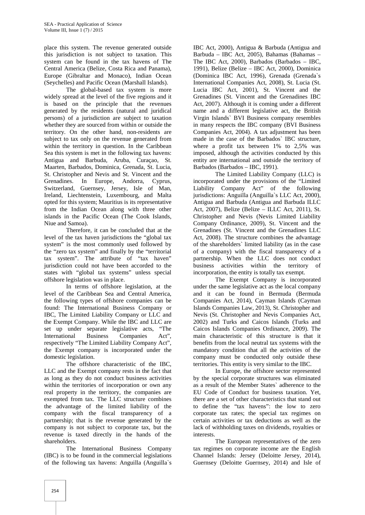place this system. The revenue generated outside this jurisdiction is not subject to taxation. This system can be found in the tax havens of The Central America (Belize, Costa Rica and Panama), Europe (Gibraltar and Monaco), Indian Ocean (Seychelles) and Pacific Ocean (Marshall Islands).

The global-based tax system is more widely spread at the level of the five regions and it is based on the principle that the revenues generated by the residents (natural and juridical persons) of a jurisdiction are subject to taxation whether they are sourced from within or outside the territory. On the other hand, non-residents are subject to tax only on the revenue generated from within the territory in question. In the Caribbean Sea this system is met in the following tax havens: Antigua and Barbuda, Aruba, Curaçao, St. Maarten, Barbados, Dominica, Grenada, St. Lucia, St. Christopher and Nevis and St. Vincent and the Grenadines. In Europe, Andorra, Cyprus, Switzerland, Guernsey, Jersey, Isle of Man, Ireland, Liechtenstein, Luxembourg, and Malta opted for this system; Mauritius is its representative from the Indian Ocean along with three other islands in the Pacific Ocean (The Cook Islands, Niue and Samoa).

Therefore, it can be concluded that at the level of the tax haven jurisdictions the "global tax system" is the most commonly used followed by the "zero tax system" and finally by the "territorial tax system". The attribute of "tax haven" jurisdiction could not have been accorded to the states with "global tax systems" unless special offshore legislation was in place.

In terms of offshore legislation, at the level of the Caribbean Sea and Central America, the following types of offshore companies can be found: The International Business Company or IBC, The Limited Liability Company or LLC and the Exempt Company. While the IBC and LLC are set up under separate legislative acts, "The International Business Companies Act", respectively "The Limited Liability Company Act", the Exempt company is incorporated under the domestic legislation.

The offshore characteristic of the IBC, LLC and the Exempt company rests in the fact that as long as they do not conduct business activities within the territories of incorporation or own any real property in the territory, the companies are exempted from tax. The LLC structure combines the advantage of the limited liability of the company with the fiscal transparency of a partnership; that is the revenue generated by the company is not subject to corporate tax, but the revenue is taxed directly in the hands of the shareholders.

The International Business Company (IBC) is to be found in the commercial legislations of the following tax havens: Anguilla (Anguilla`s

IBC Act, 2000), Antigua & Barbuda (Antigua and Barbuda – IBC Act, 2005), Bahamas (Bahamas – The IBC Act, 2000), Barbados (Barbados – IBC, 1991), Belize (Belize – IBC Act, 2000), Dominica (Dominica IBC Act, 1996), Grenada (Grenada`s International Companies Act, 2008), St. Lucia (St. Lucia IBC Act, 2001), St. Vincent and the Grenadines (St. Vincent and the Grenadines IBC Act, 2007). Although it is coming under a different name and a different legislative act, the British Virgin Islands` BVI Business company resembles in many respects the IBC company (BVI Business Companies Act, 2004). A tax adjustment has been made in the case of the Barbados` IBC structure, where a profit tax between 1% to 2,5% was imposed, although the activities conducted by this entity are international and outside the territory of Barbados (Barbados – IBC, 1991).

The Limited Liability Company (LLC) is incorporated under the provisions of the "Limited Liability Company Act" of the following jurisdictions: Anguilla (Anguilla`s LLC Act, 2000), Antigua and Barbuda (Antigua and Barbuda ILLC Act, 2007), Belize (Belize – ILLC Act, 2011), St. Christopher and Nevis (Nevis Limited Liability Company Ordinance, 2009), St. Vincent and the Grenadines (St. Vincent and the Grenadines LLC Act, 2008). The structure combines the advantage of the shareholders` limited liability (as in the case of a company) with the fiscal transparency of a partnership. When the LLC does not conduct business activities within the territory of incorporation, the entity is totally tax exempt.

The Exempt Company is incorporated under the same legislative act as the local company and it can be found in Bermuda (Bermuda Companies Act, 2014), Cayman Islands (Cayman Islands Companies Law, 2013), St. Christopher and Nevis (St. Christopher and Nevis Companies Act, 2002) and Turks and Caicos Islands (Turks and Caicos Islands Companies Ordinance, 2009). The main characteristic of this structure is that it benefits from the local neutral tax systems with the mandatory condition that all the activities of the company must be conducted only outside these territories. This entity is very similar to the IBC.

In Europe, the offshore sector represented by the special corporate structures was eliminated as a result of the Member States` adherence to the EU Code of Conduct for business taxation. Yet, there are a set of other characteristics that stand out to define the "tax havens": the low to zero corporate tax rates; the special tax regimes on certain activities or tax deductions as well as the lack of withholding taxes on dividends, royalties or interests.

The European representatives of the zero tax regimes on corporate income are the English Channel Islands: Jersey (Deloitte Jersey, 2014), Guernsey (Deloitte Guernsey, 2014) and Isle of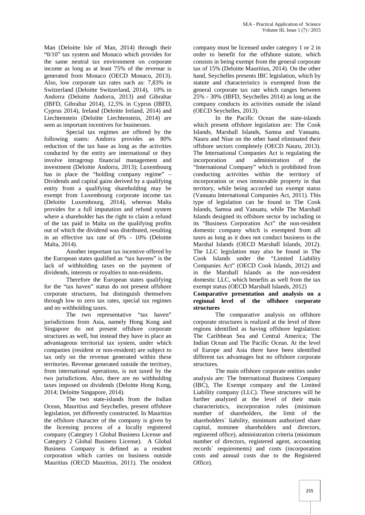Man (Deloitte Isle of Man, 2014) through their "0/10" tax system and Monaco which provides for the same neutral tax environment on corporate income as long as at least 75% of the revenue is generated from Monaco (OECD Monaco, 2013). Also, low corporate tax rates such as: 7,83% in Switzerland (Deloitte Switzerland, 2014), 10% in Andorra (Deloitte Andorra, 2013) and Gibraltar (IBFD, Gibraltar 2014), 12,5% in Cyprus (IBFD, Cyprus 2014), Ireland (Deloitte Ireland, 2014) and Liechtenstein (Deloitte Liechtenstein, 2014) are seen as important incentives for businesses.

Special tax regimes are offered by the following states: Andorra provides an 80% reduction of the tax base as long as the activities conducted by the entity are international or they involve intragroup financial management and investment (Deloitte Andorra, 2013); Luxembourg has in place the "holding company regime" – Dividends and capital gains derived by a qualifying entity from a qualifying shareholding may be exempt from Luxembourg corporate income tax (Deloitte Luxembourg, 2014), whereas Malta provides for a full imputation and refund system where a shareholder has the right to claim a refund of the tax paid in Malta on the qualifying profits out of which the dividend was distributed, resulting in an effective tax rate of 0% - 10% (Deloitte Malta, 2014).

Another important tax incentive offered by the European states qualified as "tax havens" is the lack of withholding taxes on the payment of dividends, interests or royalties to non-residents.

Therefore the European states qualifying for the "tax haven" status do not present offshore corporate structures, but distinguish themselves through low to zero tax rates, special tax regimes and no withholding taxes.

The two representative "tax haven" jurisdictions from Asia, namely Hong Kong and Singapore do not present offshore corporate structures as well, but instead they have in place an advantageous territorial tax system, under which companies (resident or non-resident) are subject to tax only on the revenue generated within these territories. Revenue generated outside the territory, from international operations, is not taxed by the two jurisdictions. Also, there are no withholding taxes imposed on dividends (Deloitte Hong Kong, 2014; Deloitte Singapore, 2014).

The two state-islands from the Indian Ocean, Mauritius and Seychelles, present offshore legislation, yet differently constructed. In Mauritius the offshore character of the company is given by the licensing process of a locally registered company (Category 1 Global Business License and Category 2 Global Business License). A Global Business Company is defined as a resident corporation which carries on business outside Mauritius (OECD Mauritius, 2011). The resident company must be licensed under category 1 or 2 in order to benefit for the offshore statute, which consists in being exempt from the general corporate tax of 15% (Deloitte Mauritius, 2014). On the other hand, Seychelles presents IBC legislation, which by statute and characteristics is exempted from the general corporate tax rate which ranges between 25% - 30% (IBFD, Seychelles 2014) as long as the company conducts its activities outside the island (OECD Seychelles, 2013).

In the Pacific Ocean the state-islands which present offshore legislation are: The Cook Islands, Marshall Islands, Samoa and Vanuatu. Nauru and Niue on the other hand eliminated their offshore sectors completely (OECD Nauru, 2013). The International Companies Act is regulating the and administration of the "International Company" which is prohibited from conducting activities within the territory of incorporation or own immovable property in that territory, while being accorded tax exempt status (Vanuatu International Companies Act, 2011). This type of legislation can be found in The Cook Islands, Samoa and Vanuatu, while The Marshall Islands designed its offshore sector by including in its "Business Corporation Act" the non-resident domestic company which is exempted from all taxes as long as it does not conduct business in the Marshal Islands (OECD Marshall Islands, 2012). The LLC legislation may also be found in The Cook Islands under the "Limited Liability Companies Act" (OECD Cook Islands, 2012) and in the Marshall Islands as the non-resident domestic LLC, which benefits as well from the tax exempt status (OECD Marshall Islands, 2012)

#### **Comparative presentation and analysis on a regional level of the offshore corporate structures**

The comparative analysis on offshore corporate structures is realized at the level of three regions identified as having offshore legislation: The Caribbean Sea and Central America; The Indian Ocean and The Pacific Ocean. At the level of Europe and Asia there have been identified different tax advantages but no offshore corporate structures.

The main offshore corporate entities under analysis are: The International Business Company (IBC), The Exempt company and the Limited Liability company (LLC). These structures will be further analyzed at the level of their main characteristics, incorporation rules (minimum number of shareholders, the limit of the shareholders` liability, minimum authorized share capital, nominee shareholders and directors, registered office), administration criteria (minimum number of directors, registered agent, accounting records` requirements) and costs (incorporation costs and annual costs due to the Registered Office).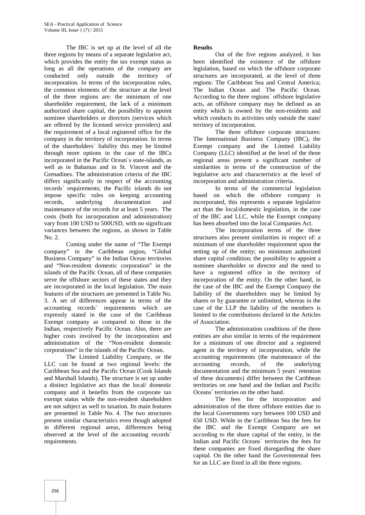The IBC is set up at the level of all the three regions by means of a separate legislative act, which provides the entity the tax exempt status as long as all the operations of the company are conducted only outside the territory of incorporation. In terms of the incorporation rules, the common elements of the structure at the level of the three regions are: the minimum of one shareholder requirement, the lack of a minimum authorized share capital, the possibility to appoint nominee shareholders or directors (services which are offered by the licensed service providers) and the requirement of a local registered office for the company in the territory of incorporation. In terms of the shareholders` liability this may be limited through more options in the case of the IBCs incorporated in the Pacific Ocean`s state-islands, as well as in Bahamas and in St. Vincent and the Grenadines. The administration criteria of the IBC differs significantly in respect of the accounting records` requirements; the Pacific islands do not impose specific rules on keeping accounting records, underlying documentation and maintenance of the records for at least 5 years. The costs (both for incorporation and administration) vary from 100 USD to 500USD, with no significant variances between the regions, as shown in Table No. 2.

Coming under the name of "The Exempt company" in the Caribbean region, "Global Business Company" in the Indian Ocean territories and "Non-resident domestic corporation" in the islands of the Pacific Ocean, all of these companies serve the offshore sectors of these states and they are incorporated in the local legislation. The main features of the structures are presented in Table No. 3. A set of differences appear in terms of the accounting records` requirements which are expressly stated in the case of the Caribbean Exempt company as compared to those in the Indian, respectively Pacific Ocean. Also, there are higher costs involved by the incorporation and administration of the "Non-resident domestic corporations" in the islands of the Pacific Ocean.

The Limited Liability Company, or the LLC can be found at two regional levels: the Caribbean Sea and the Pacific Ocean (Cook Islands and Marshall Islands). The structure is set up under a distinct legislative act than the local/ domestic company and it benefits from the corporate tax exempt status while the non-resident shareholders are not subject as well to taxation. Its main features are presented in Table No. 4. The two structures present similar characteristics even though adopted in different regional areas, differences being observed at the level of the accounting records` requirements.

#### **Results**

Out of the five regions analyzed, it has been identified the existence of the offshore legislation, based on which the offshore corporate structures are incorporated, at the level of three regions: The Caribbean Sea and Central America; The Indian Ocean and The Pacific Ocean. According to the three regions` offshore legislative acts, an offshore company may be defined as an entity which is owned by the non-residents and which conducts its activities only outside the state/ territory of incorporation.

The three offshore corporate structures: The International Business Company (IBC), the Exempt company and the Limited Liability Company (LLC) identified at the level of the three regional areas present a significant number of similarities in terms of the construction of the legislative acts and characteristics at the level of incorporation and administration criteria.

In terms of the commercial legislation based on which the offshore company is incorporated, this represents a separate legislative act than the local/domestic legislation, in the case of the IBC and LLC, while the Exempt company has been absorbed into the local Companies Act.

The incorporation terms of the three structures also present similarities in respect of: a minimum of one shareholder requirement upon the setting up of the entity; no minimum authorized share capital condition; the possibility to appoint a nominee shareholder or director and the need to have a registered office in the territory of incorporation of the entity. On the other hand, in the case of the IBC and the Exempt Company the liability of the shareholders may be limited by shares or by guarantee or unlimited, whereas in the case of the LLP the liability of the members is limited to the contributions declared in the Articles of Association.

The administration conditions of the three entities are also similar in terms of the requirement for a minimum of one director and a registered agent in the territory of incorporation, while the accounting requirements (the maintenance of the accounting records, of the underlying documentation and the minimum 5 years` retention of these documents) differ between the Caribbean territories on one hand and the Indian and Pacific Oceans` territories on the other hand.

The fees for the incorporation and administration of the three offshore entities due to the local Governments vary between 100 USD and 650 USD. While in the Caribbean Sea the fees for the IBC and the Exempt Company are set according to the share capital of the entity, in the Indian and Pacific Oceans` territories the fees for these companies are fixed disregarding the share capital. On the other hand the Governmental fees for an LLC are fixed in all the three regions.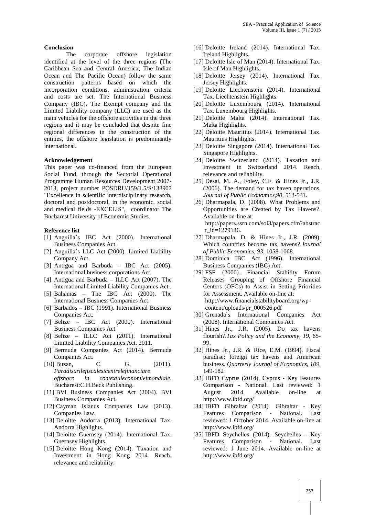#### **Conclusion**

The corporate offshore legislation identified at the level of the three regions (The Caribbean Sea and Central America; The Indian Ocean and The Pacific Ocean) follow the same construction patterns based on which the incorporation conditions, administration criteria and costs are set. The International Business Company (IBC), The Exempt company and the Limited Liability company (LLC) are used as the main vehicles for the offshore activities in the three regions and it may be concluded that despite fine regional differences in the construction of the entities, the offshore legislation is predominantly international.

#### **Acknowledgement**

This paper was co-financed from the European Social Fund, through the Sectorial Operational Programme Human Resources Development 2007- 2013, project number POSDRU/159/1.5/S/138907 "Excellence in scientific interdisciplinary research, doctoral and postdoctoral, in the economic, social and medical fields -EXCELIS", coordinator The Bucharest University of Economic Studies.

#### **Reference list**

- [1] Anguilla`s IBC Act (2000). International Business Companies Act.
- [2] Anguilla`s LLC Act (2000). Limited Liability Company Act.
- [3] Antigua and Barbuda IBC Act (2005). International business corporations Act.
- [4] Antigua and Barbuda ILLC Act (2007). The International Limited Liability Companies Act .
- [5] Bahamas The IBC Act (2000). The International Business Companies Act.
- [6] Barbados IBC (1991). International Business Companies Act.
- [7] Belize IBC Act (2000). International Business Companies Act.
- [8] Belize ILLC Act (2011). International Limited Liability Companies Act. 2011.
- [9] Bermuda Companies Act (2014). Bermuda Companies Act.
- [10] Buzan, C. G. (2011). *Paradisurilefiscalesicentrelefinanciare offshore in contextuleconomieimondiale*. Bucharest:C.H.Beck Publishing.
- [11] BVI Business Companies Act (2004). BVI Business Companies Act.
- [12] Cayman Islands Companies Law (2013). Companies Law.
- [13] Deloitte Andorra (2013). International Tax. Andorra Highlights.
- [14] Deloitte Guernsey (2014). International Tax. Guernsey Highlights.
- [15] Deloitte Hong Kong (2014). Taxation and Investment in Hong Kong 2014. Reach, relevance and reliability.
- [16] Deloitte Ireland (2014). International Tax. Ireland Highlights.
- [17] Deloitte Isle of Man (2014). International Tax. Isle of Man Highlights.
- [18] Deloitte Jersey (2014). International Tax. Jersey Highlights.
- [19] Deloitte Liechtenstein (2014). International Tax. Liechtenstein Highlights.
- [20] Deloitte Luxembourg (2014). International Tax. Luxembourg Highlights.
- [21] Deloitte Malta (2014). International Tax. Malta Highlights.
- [22] Deloitte Mauritius (2014). International Tax. Mauritius Highlights.
- [23] Deloitte Singapore (2014). International Tax. Singapore Highlights.
- [24] Deloitte Switzerland (2014). Taxation and Investment in Switzerland 2014. Reach, relevance and reliability.
- [25] Desai, M. A., Foley, C.F. & Hines Jr., J.R. (2006). The demand for tax haven operations. *Journal of Public Economics*,*90*, 513-531.
- [26] Dharmapala, D. (2008). What Problems and Opportunities are Created by Tax Havens?. Available on-line at: http://papers.ssrn.com/sol3/papers.cfm?abstrac t id=1279146.
- [27] Dharmapala, D. & Hines Jr., J.R. (2009). Which countries become tax havens?.*Journal of Public Economics, 93*, 1058-1068.
- [28] Dominica IBC Act (1996). International Business Companies (IBC) Act.
- [29] FSF (2000). Financial Stability Forum Releases Grouping of Offshore Financial Centers (OFCs) to Assist in Setting Priorities for Assessment. Available on-line at: http://www.financialstabilityboard.org/wp content/uploads/pr\_000526.pdf
- [30] Grenada`s International Companies Act (2008). International Companies Act.
- [31] Hines Jr., J.R. (2005). Do tax havens flourish?.*Tax Policy and the Economy, 19*, 65- 99.
- [32] Hines Jr., J.R. & Rice, E.M. (1994). Fiscal paradise: foreign tax havens and American business. *Quarterly Journal of Economics, 109*, 149-182
- [33] IBFD Cyprus (2014). Cyprus Key Features Comparison - National. Last reviewed: 1 August 2014. Available on-line at http://www.ibfd.org/
- [34] IBFD Gibraltar (2014). Gibraltar Key Features Comparison - National. Last reviewed: 1 October 2014. Available on-line at http://www.ibfd.org/
- [35] IBFD Seychelles (2014). Seychelles Key Features Comparison - National. Last reviewed: 1 June 2014. Available on-line at http://www.ibfd.org/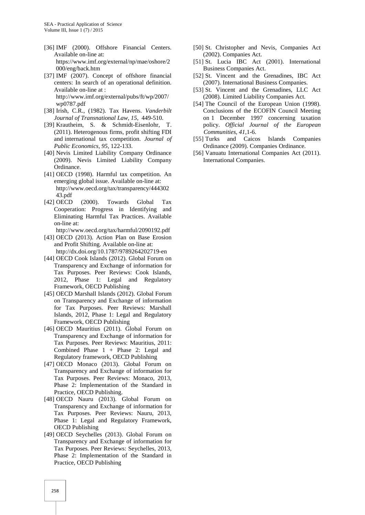- [36] IMF (2000). Offshore Financial Centers. Available on-line at: https://www.imf.org/external/np/mae/oshore/2 000/eng/back.htm
- [37] IMF (2007). Concept of offshore financial centers: In search of an operational definition. Available on-line at : http://www.imf.org/external/pubs/ft/wp/2007/ wp0787.pdf
- [38] Irish, C.R., (1982). Tax Havens. *Vanderbilt Journal of Transnational Law, 15*, 449-510.
- [39] Krautheim, S. & Schmidt-Eisenlohr, T. (2011). Heterogenous firms, profit shifting FDI and international tax competition. *Journal of Public Economics, 95,* 122-133.
- [40] Nevis Limited Liability Company Ordinance (2009). Nevis Limited Liability Company Ordinance.
- [41] OECD (1998). Harmful tax competition. An emerging global issue. Available on-line at: http://www.oecd.org/tax/transparency/444302 43.pdf
- [42] OECD (2000). Towards Global Tax Cooperation: Progress in Identifying and Eliminating Harmful Tax Practices. Available on-line at:

http://www.oecd.org/tax/harmful/2090192.pdf

- [43] OECD (2013). Action Plan on Base Erosion and Profit Shifting. Available on-line at: http://dx.doi.org/10.1787/9789264202719-en
- [44] OECD Cook Islands (2012). Global Forum on Transparency and Exchange of information for Tax Purposes. Peer Reviews: Cook Islands, 2012, Phase 1: Legal and Regulatory Framework, OECD Publishing
- [45] OECD Marshall Islands (2012). Global Forum on Transparency and Exchange of information for Tax Purposes. Peer Reviews: Marshall Islands, 2012, Phase 1: Legal and Regulatory Framework, OECD Publishing
- [46] OECD Mauritius (2011). Global Forum on Transparency and Exchange of information for Tax Purposes. Peer Reviews: Mauritius, 2011: Combined Phase 1 + Phase 2: Legal and Regulatory framework, OECD Publishing
- [47] OECD Monaco (2013). Global Forum on Transparency and Exchange of information for Tax Purposes. Peer Reviews: Monaco, 2013, Phase 2: Implementation of the Standard in Practice, OECD Publishing.
- [48] OECD Nauru (2013). Global Forum on Transparency and Exchange of information for Tax Purposes. Peer Reviews: Nauru, 2013, Phase 1: Legal and Regulatory Framework, OECD Publishing
- [49] OECD Seychelles (2013). Global Forum on Transparency and Exchange of information for Tax Purposes. Peer Reviews: Seychelles, 2013, Phase 2: Implementation of the Standard in Practice, OECD Publishing
- [50] St. Christopher and Nevis, Companies Act (2002). Companies Act.
- [51] St. Lucia IBC Act (2001). International Business Companies Act.
- [52] St. Vincent and the Grenadines, IBC Act (2007). International Business Companies.
- [53] St. Vincent and the Grenadines, LLC Act (2008). Limited Liability Companies Act.
- [54] The Council of the European Union (1998). Conclusions of the ECOFIN Council Meeting on 1 December 1997 concerning taxation policy. *Official Journal of the European Communities, 41*,1-6.
- [55] Turks and Caicos Islands Companies Ordinance (2009). Companies Ordinance.
- [56] Vanuatu International Companies Act (2011). International Companies.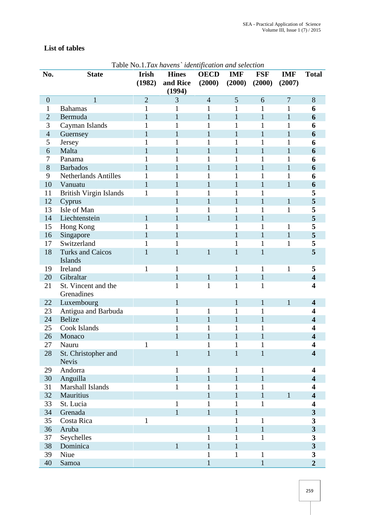## **List of tables**

| No.              | <b>State</b>                        | <b>Irish</b>   | <b>Table No.1.1 ax havens udentification and selection</b><br><b>Hines</b> | <b>OECD</b>    | <b>IMF</b>   | <b>FSF</b>   | <b>IMF</b>     | <b>Total</b>            |
|------------------|-------------------------------------|----------------|----------------------------------------------------------------------------|----------------|--------------|--------------|----------------|-------------------------|
|                  |                                     | (1982)         | and Rice<br>(1994)                                                         | (2000)         | (2000)       | (2000)       | (2007)         |                         |
| $\boldsymbol{0}$ | $\mathbf{1}$                        | $\overline{2}$ | 3                                                                          | $\overline{4}$ | 5            | 6            | $\overline{7}$ | 8                       |
| $\mathbf{1}$     | <b>Bahamas</b>                      | 1              | 1                                                                          | 1              | 1            | 1            | 1              | 6                       |
| $\overline{2}$   | Bermuda                             | $\mathbf{1}$   | $\mathbf{1}$                                                               | $\mathbf{1}$   | $\mathbf{1}$ | $\mathbf{1}$ | $\mathbf{1}$   | 6                       |
| 3                | Cayman Islands                      | 1              | 1                                                                          | 1              | 1            | 1            | 1              | 6                       |
| $\overline{4}$   | Guernsey                            | $\mathbf{1}$   | $\mathbf{1}$                                                               | $\mathbf{1}$   | $\mathbf{1}$ | $\mathbf{1}$ | $\mathbf{1}$   | 6                       |
| 5                | Jersey                              | 1              | 1                                                                          | 1              | 1            | 1            | 1              | 6                       |
| 6                | Malta                               | $\mathbf{1}$   | $\mathbf{1}$                                                               | 1              |              | 1            | $\mathbf{1}$   | 6                       |
| $\tau$           | Panama                              | $\mathbf{1}$   | $\mathbf 1$                                                                | 1              | 1            | $\mathbf{1}$ | 1              | 6                       |
| 8                | <b>Barbados</b>                     | $\mathbf{1}$   | $\mathbf{1}$                                                               | $\mathbf{1}$   | $\mathbf{1}$ | $\mathbf{1}$ | $\mathbf{1}$   | 6                       |
| 9                | <b>Netherlands Antilles</b>         | 1              |                                                                            | 1              | 1            | 1            | 1              | 6                       |
| 10               | Vanuatu                             | $\mathbf{1}$   | $\mathbf{1}$                                                               | $\mathbf{1}$   | 1            | $\mathbf{1}$ | $\mathbf{1}$   | 6                       |
| 11               | <b>British Virgin Islands</b>       | $\mathbf{1}$   |                                                                            | 1              | 1            | 1            |                | 5                       |
| 12               | Cyprus                              |                | 1                                                                          | $\mathbf{1}$   | 1            | $\mathbf{1}$ | $\mathbf{1}$   | 5                       |
| 13               | Isle of Man                         |                |                                                                            | 1              | 1            | 1            | $\mathbf{1}$   | 5                       |
| 14               | Liechtenstein                       | $\mathbf{1}$   | $\mathbf{1}$                                                               | $\mathbf{1}$   | $\mathbf{1}$ | $\mathbf{1}$ |                | 5                       |
| 15               | Hong Kong                           | 1              |                                                                            |                | 1            | 1            | 1              | 5                       |
| 16               | Singapore                           | $\mathbf{1}$   | 1                                                                          |                |              | 1            | $\mathbf{1}$   | 5                       |
| 17               | Switzerland                         | $\mathbf{1}$   | $\mathbf 1$                                                                |                | 1            | $\mathbf{1}$ | 1              | 5                       |
| 18               | <b>Turks and Caicos</b><br>Islands  | $\mathbf{1}$   | $\mathbf{1}$                                                               | $\mathbf{1}$   | 1            | $\mathbf{1}$ |                | 5                       |
| 19               | Ireland                             | $\mathbf{1}$   | $\mathbf{1}$                                                               |                | 1            | $\mathbf{1}$ | $\mathbf{1}$   | 5                       |
| 20               | Gibraltar                           |                | $\mathbf{1}$                                                               | $\mathbf{1}$   | $\mathbf{1}$ | $\mathbf{1}$ |                | $\overline{\mathbf{4}}$ |
| 21               | St. Vincent and the<br>Grenadines   |                | $\mathbf{1}$                                                               | $\mathbf{1}$   | $\mathbf{1}$ | $\mathbf{1}$ |                | 4                       |
| 22               | Luxembourg                          |                | $\mathbf{1}$                                                               |                | $\mathbf{1}$ | $\mathbf{1}$ | $\mathbf{1}$   | $\overline{\mathbf{4}}$ |
| 23               | Antigua and Barbuda                 |                | 1                                                                          | 1              | 1            | 1            |                | 4                       |
| 24               | <b>Belize</b>                       |                | $\mathbf{1}$                                                               | $\mathbf{1}$   |              | 1            |                | $\overline{\mathbf{4}}$ |
| 25               | Cook Islands                        |                |                                                                            | 1              |              |              |                | 4                       |
| 26               | Monaco                              |                |                                                                            |                |              |              |                | 4                       |
| 27               | Nauru                               |                |                                                                            | 1              | 1            |              |                | $\overline{\mathbf{4}}$ |
| 28               | St. Christopher and<br><b>Nevis</b> |                | $\mathbf 1$                                                                | $\mathbf{1}$   | $\mathbf{1}$ | 1            |                | $\overline{\mathbf{4}}$ |
| 29               | Andorra                             |                | $\mathbf{1}$                                                               | $\mathbf{1}$   | $\mathbf{1}$ | 1            |                | $\overline{\mathbf{4}}$ |
| 30               | Anguilla                            |                | $\mathbf{1}$                                                               | $\mathbf{1}$   | $\mathbf{1}$ | $\mathbf{1}$ |                | $\overline{\mathbf{4}}$ |
| 31               | Marshall Islands                    |                | $\mathbf{1}$                                                               | $\mathbf{1}$   | $\mathbf{1}$ | $\mathbf{1}$ |                | $\overline{\mathbf{4}}$ |
| 32               | Mauritius                           |                |                                                                            | $\mathbf{1}$   | $\mathbf{1}$ | $\mathbf{1}$ | $\mathbf{1}$   | $\overline{\mathbf{4}}$ |
| 33               | St. Lucia                           |                |                                                                            | 1              | 1            | $\mathbf{1}$ |                | $\overline{\mathbf{4}}$ |
| 34               | Grenada                             |                | $\mathbf{1}$                                                               | $\mathbf{1}$   | $\mathbf{1}$ |              |                | $\overline{\mathbf{3}}$ |
| 35               | Costa Rica                          | $\mathbf{1}$   |                                                                            |                | $\mathbf{1}$ | 1            |                | 3                       |
| 36               | Aruba                               |                |                                                                            | $\mathbf{1}$   | $\mathbf{1}$ | $\mathbf{1}$ |                | $\overline{\mathbf{3}}$ |
| 37               | Seychelles                          |                |                                                                            | $\mathbf{1}$   | $\mathbf{1}$ | $\mathbf{1}$ |                | 3                       |
| 38               | Dominica                            |                | $\mathbf{1}$                                                               | $\mathbf{1}$   | $\mathbf{1}$ |              |                | 3                       |
| 39               | Niue                                |                |                                                                            | $\mathbf{1}$   | $\mathbf{1}$ | 1            |                | 3                       |
| 40               | Samoa                               |                |                                                                            | $\mathbf{1}$   |              | $\mathbf{1}$ |                | $\overline{2}$          |

Table No.1.*Tax havens` identification and selection*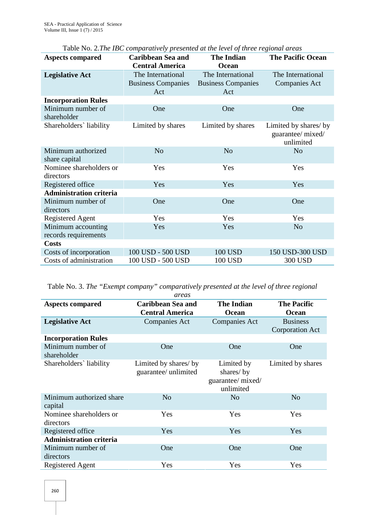| <b>Aspects compared</b>              | <b>Caribbean Sea and</b>  | <b>The Indian</b>         | <b>The Pacific Ocean</b>                                |
|--------------------------------------|---------------------------|---------------------------|---------------------------------------------------------|
|                                      | <b>Central America</b>    | Ocean                     |                                                         |
| <b>Legislative Act</b>               | The International         | The International         | The International                                       |
|                                      | <b>Business Companies</b> | <b>Business Companies</b> | <b>Companies Act</b>                                    |
|                                      | Act                       | Act                       |                                                         |
| <b>Incorporation Rules</b>           |                           |                           |                                                         |
| Minimum number of<br>shareholder     | One                       | One                       | One                                                     |
| Shareholders' liability              | Limited by shares         | Limited by shares         | Limited by shares/ by<br>guarantee/ mixed/<br>unlimited |
| Minimum authorized<br>share capital  | N <sub>o</sub>            | N <sub>o</sub>            | N <sub>o</sub>                                          |
| Nominee shareholders or<br>directors | Yes                       | Yes                       | Yes                                                     |
| Registered office                    | Yes                       | Yes                       | Yes                                                     |
| <b>Administration criteria</b>       |                           |                           |                                                         |
| Minimum number of<br>directors       | One                       | One                       | One                                                     |
| <b>Registered Agent</b>              | Yes                       | Yes                       | Yes                                                     |
| Minimum accounting                   | Yes                       | Yes                       | N <sub>o</sub>                                          |
| records requirements                 |                           |                           |                                                         |
| <b>Costs</b>                         |                           |                           |                                                         |
| Costs of incorporation               | 100 USD - 500 USD         | <b>100 USD</b>            | 150 USD-300 USD                                         |
| Costs of administration              | 100 USD - 500 USD         | 100 USD                   | 300 USD                                                 |

Table No. 2.*The IBC comparatively presented at the level of three regional areas*

Table No. 3. *The "Exempt company" comparatively presented at the level of three regional*

|                                      | areas                                              |                                                           |                                           |
|--------------------------------------|----------------------------------------------------|-----------------------------------------------------------|-------------------------------------------|
| <b>Aspects compared</b>              | <b>Caribbean Sea and</b><br><b>Central America</b> | <b>The Indian</b><br>Ocean                                | <b>The Pacific</b><br>Ocean               |
| <b>Legislative Act</b>               | <b>Companies Act</b>                               | <b>Companies Act</b>                                      | <b>Business</b><br><b>Corporation Act</b> |
| <b>Incorporation Rules</b>           |                                                    |                                                           |                                           |
| Minimum number of<br>shareholder     | One                                                | One                                                       | One                                       |
| Shareholders' liability              | Limited by shares/ by<br>guarantee/ unlimited      | Limited by<br>shares/by<br>guarantee/ mixed/<br>unlimited | Limited by shares                         |
| Minimum authorized share<br>capital  | N <sub>o</sub>                                     | N <sub>o</sub>                                            | N <sub>o</sub>                            |
| Nominee shareholders or<br>directors | Yes                                                | Yes                                                       | Yes                                       |
| Registered office                    | Yes                                                | Yes                                                       | Yes                                       |
| <b>Administration criteria</b>       |                                                    |                                                           |                                           |
| Minimum number of<br>directors       | One                                                | One                                                       | One                                       |
| Registered Agent                     | Yes                                                | Yes                                                       | Yes                                       |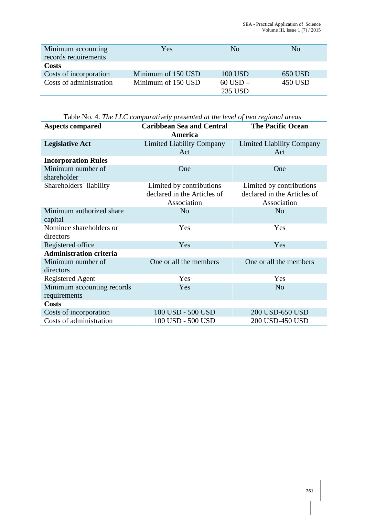| Minimum accounting<br>records requirements | Yes                | No                      | No.     |
|--------------------------------------------|--------------------|-------------------------|---------|
| Costs                                      |                    |                         |         |
| Costs of incorporation                     | Minimum of 150 USD | 100 USD                 | 650 USD |
| Costs of administration                    | Minimum of 150 USD | $60$ USD $-$<br>235 USD | 450 USD |

Table No. 4. *The LLC comparatively presented at the level of two regional areas*

| <b>Aspects compared</b>                    | <b>Caribbean Sea and Central</b><br>America                            | <b>The Pacific Ocean</b>                                               |
|--------------------------------------------|------------------------------------------------------------------------|------------------------------------------------------------------------|
| <b>Legislative Act</b>                     | <b>Limited Liability Company</b>                                       | <b>Limited Liability Company</b>                                       |
|                                            | Act                                                                    | Act                                                                    |
| <b>Incorporation Rules</b>                 |                                                                        |                                                                        |
| Minimum number of                          | One                                                                    | One                                                                    |
| shareholder                                |                                                                        |                                                                        |
| Shareholders' liability                    | Limited by contributions<br>declared in the Articles of<br>Association | Limited by contributions<br>declared in the Articles of<br>Association |
| Minimum authorized share<br>capital        | N <sub>o</sub>                                                         | N <sub>o</sub>                                                         |
| Nominee shareholders or<br>directors       | Yes                                                                    | Yes                                                                    |
| Registered office                          | Yes                                                                    | Yes                                                                    |
| <b>Administration criteria</b>             |                                                                        |                                                                        |
| Minimum number of<br>directors             | One or all the members                                                 | One or all the members                                                 |
| Registered Agent                           | Yes                                                                    | Yes                                                                    |
| Minimum accounting records<br>requirements | Yes                                                                    | N <sub>o</sub>                                                         |
| <b>Costs</b>                               |                                                                        |                                                                        |
| Costs of incorporation                     | 100 USD - 500 USD                                                      | 200 USD-650 USD                                                        |
| Costs of administration                    | 100 USD - 500 USD                                                      | 200 USD-450 USD                                                        |